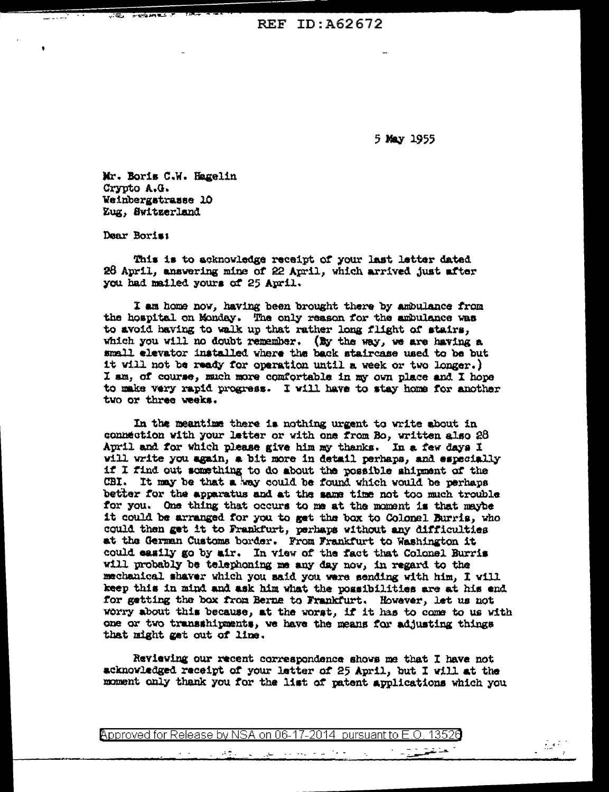**REF ID: A62672** 

5 May 1955

Mr. Boris C.W. Hagelin Crypto A.G. Weinbergstrasse 10 Zug, Switzerland

Dear Boris:

This is to acknowledge receipt of your last letter dated 26 April, answering mine of 22 April, which arrived just after you had mailed yours of 25 April.

I am home now, having been brought there by ambulance from the hospital on Monday. The only reason for the ambulance was to avoid having to walk up that rather long flight of stairs. which you will no doubt remember. (By the way, we are having a small elevator installed where the back staircase used to be but it will not be ready for operation until a week or two longer.) I am, of course, much more comfortable in my own place and I hope to make very rapid progress. I will have to stay home for another two or three weeks.

In the meantime there is nothing urgent to write shout in connection with your letter or with one from Bo, written also 28 April and for which please give him my thanks. In a few days I will write you again, a bit more in detail perhaps, and especially if I find out something to do about the possible shipment of the CBI. It may be that a way could be found which would be perhaps better for the apparatus and at the same time not too much trouble for you. One thing that occurs to me at the moment is that maybe it could be arranged for you to get the box to Colonel Burris, who could then get it to Frankfurt, perhaps without any difficulties at the German Customs border. From Frankfurt to Washington it could easily go by air. In view of the fact that Colonel Burris will probably be telephoning me any day now, in regard to the mechanical shaver which you said you were sending with him, I will keep this in mind and ask him what the possibilities are at his end for getting the box from Berne to Frankfurt. However, let us not worry about this because, at the worst, if it has to come to us with one or two transshipments, we have the means for adjusting things that might get out of line.

Reviewing our recent correspondence shows me that I have not acknowledged receipt of your letter of 25 April, but I will at the moment only thank you for the list of patent applications which you

Approved for Release by NSA on 06-17-2014 pursuant to E.O.

التواجه الرعاء المتورد المتورد

تهيبة